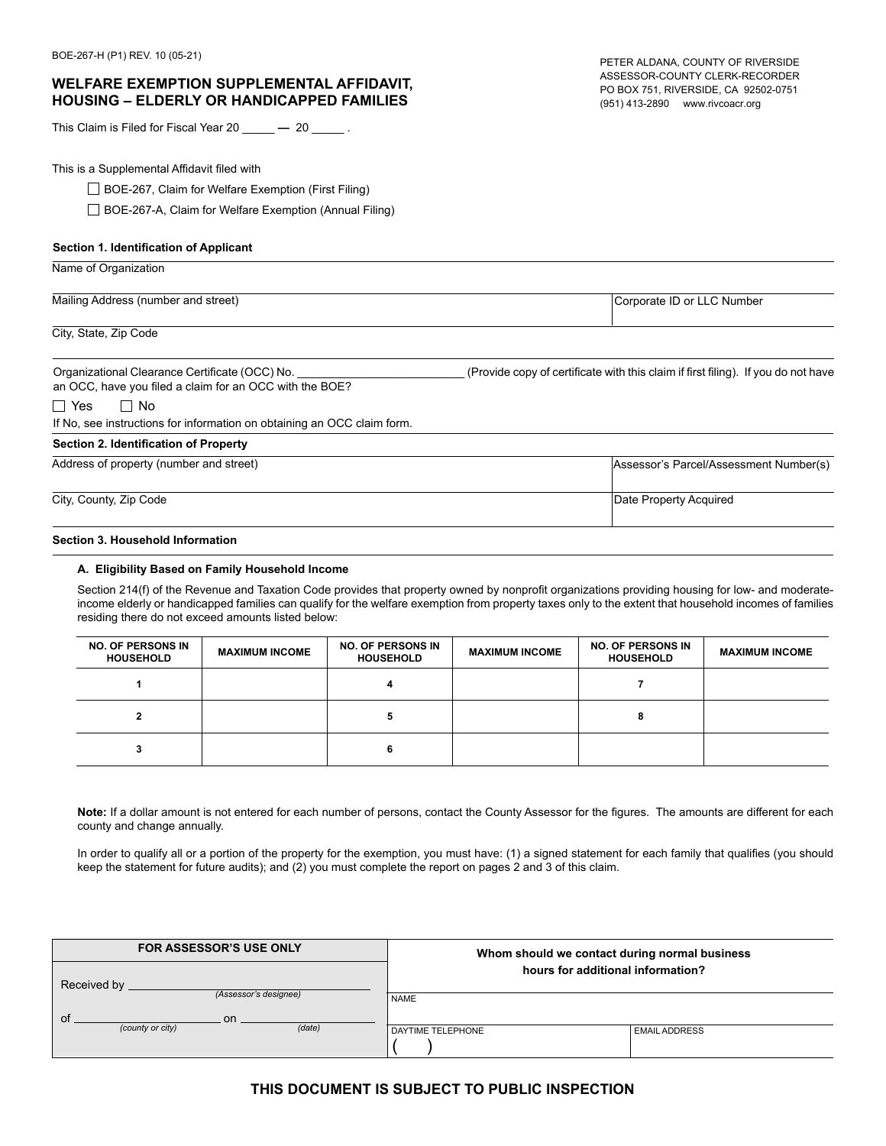# **WELFARE EXEMPTION SUPPLEMENTAL AFFIDAVIT, HOUSING – ELDERLY OR HANDICAPPED FAMILIES**

This Claim is Filed for Fiscal Year 20 \_\_\_\_\_ **—** 20 \_\_\_\_\_ .

This is a Supplemental Affidavit filed with

#### **Section 1. Identification of Applicant**

# Mailing Address (number and street) **Corporate ID** or LLC Number and street) Corporate ID or LLC Number

City, State, Zip Code

Name of Organization

an OCC, have you filed a claim for an OCC with the BOE?

■ Yes ■ No

If No, see instructions for information on obtaining an OCC claim form.

#### **Section 2. Identification of Property**

| Address of property (number and street) | Assessor's Parcel/Assessment Number(s) |
|-----------------------------------------|----------------------------------------|
|                                         |                                        |
| City, County, Zip Code                  | Date Property Acquired                 |
|                                         |                                        |

#### **Section 3. Household Information**

#### **A. Eligibility Based on Family Household Income**

| <b>ELFARE EXEMPTION SUPPLEMENTAL AFFIDAVIT,</b><br>USING - ELDERLY OR HANDICAPPED FAMILIES                                        |                                                            |                                                                                                                                                                                                                                                                                                                                                                                                                                |                       | PETER ALDANA, COUNTY OF RIVERSIDE<br>ASSESSOR-COUNTY CLERK-RECORDER<br>PO BOX 751, RIVERSIDE, CA 92502-0751<br>(951) 413-2890 www.rivcoacr.org |                                        |
|-----------------------------------------------------------------------------------------------------------------------------------|------------------------------------------------------------|--------------------------------------------------------------------------------------------------------------------------------------------------------------------------------------------------------------------------------------------------------------------------------------------------------------------------------------------------------------------------------------------------------------------------------|-----------------------|------------------------------------------------------------------------------------------------------------------------------------------------|----------------------------------------|
| : Claim is Filed for Fiscal Year 20 $\_\_\_\_$ — 20 $\_\_\_\_\_$ .                                                                |                                                            |                                                                                                                                                                                                                                                                                                                                                                                                                                |                       |                                                                                                                                                |                                        |
| is a Supplemental Affidavit filed with                                                                                            |                                                            |                                                                                                                                                                                                                                                                                                                                                                                                                                |                       |                                                                                                                                                |                                        |
|                                                                                                                                   | $\Box$ BOE-267, Claim for Welfare Exemption (First Filing) |                                                                                                                                                                                                                                                                                                                                                                                                                                |                       |                                                                                                                                                |                                        |
|                                                                                                                                   | BOE-267-A, Claim for Welfare Exemption (Annual Filing)     |                                                                                                                                                                                                                                                                                                                                                                                                                                |                       |                                                                                                                                                |                                        |
| tion 1. Identification of Applicant                                                                                               |                                                            |                                                                                                                                                                                                                                                                                                                                                                                                                                |                       |                                                                                                                                                |                                        |
| ne of Organization                                                                                                                |                                                            |                                                                                                                                                                                                                                                                                                                                                                                                                                |                       |                                                                                                                                                |                                        |
| ling Address (number and street)                                                                                                  |                                                            |                                                                                                                                                                                                                                                                                                                                                                                                                                |                       | Corporate ID or LLC Number                                                                                                                     |                                        |
| , State, Zip Code                                                                                                                 |                                                            |                                                                                                                                                                                                                                                                                                                                                                                                                                |                       |                                                                                                                                                |                                        |
| anizational Clearance Certificate (OCC) No.<br>OCC, have you filed a claim for an OCC with the BOE?<br>Yes<br>$\Box$ No           |                                                            |                                                                                                                                                                                                                                                                                                                                                                                                                                |                       | (Provide copy of certificate with this claim if first filing). If you do not have                                                              |                                        |
| o, see instructions for information on obtaining an OCC claim form.                                                               |                                                            |                                                                                                                                                                                                                                                                                                                                                                                                                                |                       |                                                                                                                                                |                                        |
| tion 2. Identification of Property:                                                                                               |                                                            |                                                                                                                                                                                                                                                                                                                                                                                                                                |                       |                                                                                                                                                |                                        |
| ress of property (number and street)                                                                                              |                                                            |                                                                                                                                                                                                                                                                                                                                                                                                                                |                       |                                                                                                                                                | Assessor's Parcel/Assessment Number(s) |
| County, Zip Code                                                                                                                  |                                                            |                                                                                                                                                                                                                                                                                                                                                                                                                                |                       | Date Property Acquired                                                                                                                         |                                        |
| tion 3. Household Information                                                                                                     |                                                            |                                                                                                                                                                                                                                                                                                                                                                                                                                |                       |                                                                                                                                                |                                        |
| A. Eligibility Based on Family Household Income<br>residing there do not exceed amounts listed below:<br><b>NO. OF PERSONS IN</b> |                                                            | Section 214(f) of the Revenue and Taxation Code provides that property owned by nonprofit organizations providing housing for low- and moderate<br>income elderly or handicapped families can qualify for the welfare exemption from property taxes only to the extent that household incomes of familie<br><b>NO. OF PERSONS IN</b>                                                                                           |                       | <b>NO. OF PERSONS IN</b>                                                                                                                       |                                        |
| <b>HOUSEHOLD</b>                                                                                                                  | <b>MAXIMUM INCOME</b>                                      | <b>HOUSEHOLD</b>                                                                                                                                                                                                                                                                                                                                                                                                               | <b>MAXIMUM INCOME</b> | <b>HOUSEHOLD</b>                                                                                                                               | <b>MAXIMUM INCOME</b>                  |
| 1                                                                                                                                 |                                                            | 4                                                                                                                                                                                                                                                                                                                                                                                                                              |                       | 7                                                                                                                                              |                                        |
| $\mathbf{2}$                                                                                                                      |                                                            | 5                                                                                                                                                                                                                                                                                                                                                                                                                              |                       | 8                                                                                                                                              |                                        |
| 3                                                                                                                                 |                                                            | 6                                                                                                                                                                                                                                                                                                                                                                                                                              |                       |                                                                                                                                                |                                        |
| county and change annually.                                                                                                       |                                                            | Note: If a dollar amount is not entered for each number of persons, contact the County Assessor for the figures. The amounts are different for eacl<br>In order to qualify all or a portion of the property for the exemption, you must have: (1) a signed statement for each family that qualifies (you should<br>keep the statement for future audits); and (2) you must complete the report on pages 2 and 3 of this claim. |                       |                                                                                                                                                |                                        |
| <b>FOR ASSESSOR'S USE ONLY</b><br>Whom should we contact during normal business<br>hours for additional information?              |                                                            |                                                                                                                                                                                                                                                                                                                                                                                                                                |                       |                                                                                                                                                |                                        |
| eceived by                                                                                                                        | (Assessor's designee)                                      | <b>NAME</b>                                                                                                                                                                                                                                                                                                                                                                                                                    |                       |                                                                                                                                                |                                        |
| (county or city)                                                                                                                  | on<br>(data)                                               | DAYTIME TELEPHONE                                                                                                                                                                                                                                                                                                                                                                                                              |                       | <b>EMAIL ADDRESS</b>                                                                                                                           |                                        |
|                                                                                                                                   |                                                            | THIS DOCUMENT IS SUBJECT TO PUBLIC INSPECTION                                                                                                                                                                                                                                                                                                                                                                                  |                       |                                                                                                                                                |                                        |
|                                                                                                                                   |                                                            |                                                                                                                                                                                                                                                                                                                                                                                                                                |                       |                                                                                                                                                |                                        |

| <b>FOR ASSESSOR'S USE ONLY</b>     | Whom should we contact during normal business |                      |  |
|------------------------------------|-----------------------------------------------|----------------------|--|
| Received by                        | hours for additional information?             |                      |  |
| (Assessor's designee)<br>on.<br>οt | <b>NAME</b>                                   |                      |  |
| (data)<br>(county or city)         | DAYTIME TELEPHONE                             | <b>EMAIL ADDRESS</b> |  |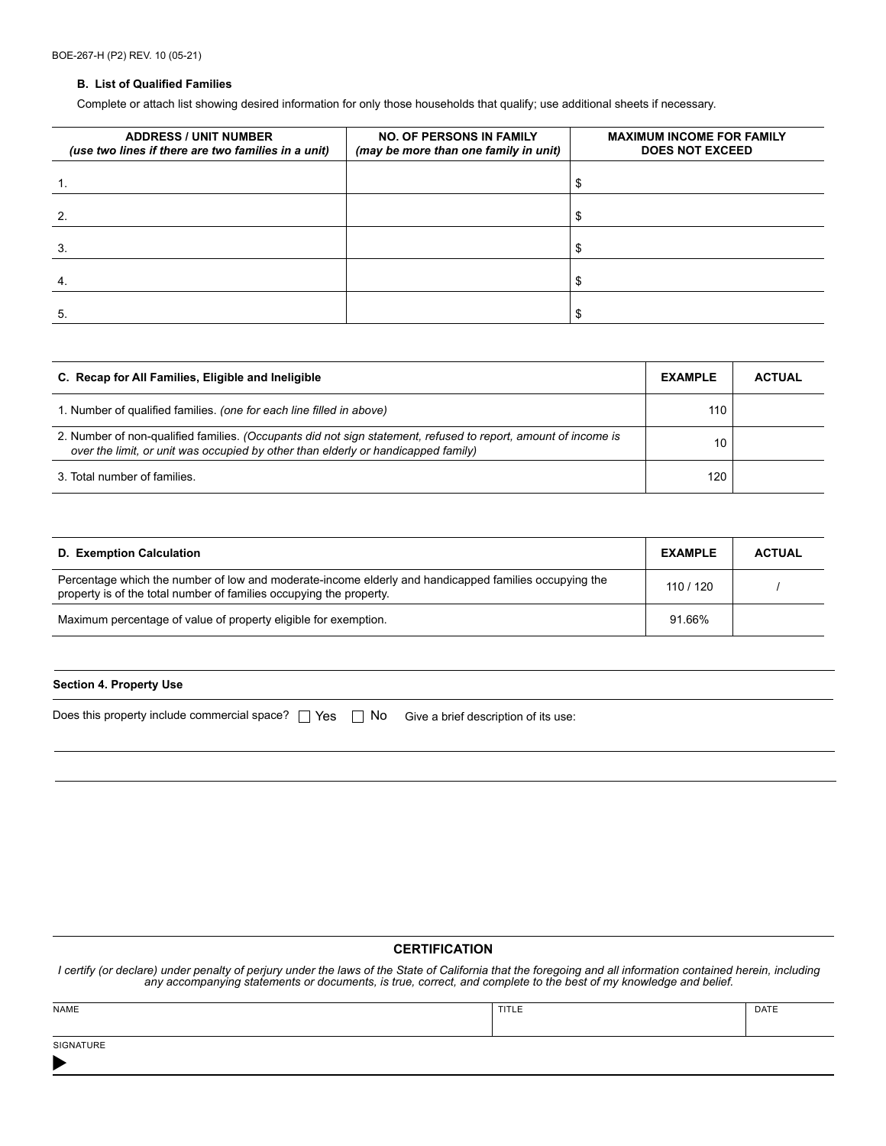#### **B. List of Qualified Families**

Complete or attach list showing desired information for only those households that qualify; use additional sheets if necessary.

| <b>ADDRESS / UNIT NUMBER</b><br>(use two lines if there are two families in a unit) | <b>NO. OF PERSONS IN FAMILY</b><br>(may be more than one family in unit) | <b>MAXIMUM INCOME FOR FAMILY</b><br><b>DOES NOT EXCEED</b> |
|-------------------------------------------------------------------------------------|--------------------------------------------------------------------------|------------------------------------------------------------|
|                                                                                     |                                                                          |                                                            |
| 2.                                                                                  |                                                                          |                                                            |
| 3.                                                                                  |                                                                          |                                                            |
| $\overline{4}$                                                                      |                                                                          |                                                            |
| 5.                                                                                  |                                                                          |                                                            |

| C. Recap for All Families, Eligible and Ineligible                                                                                                                                                  | <b>EXAMPLE</b> | <b>ACTUAL</b> |
|-----------------------------------------------------------------------------------------------------------------------------------------------------------------------------------------------------|----------------|---------------|
| 1. Number of qualified families. (one for each line filled in above)                                                                                                                                | 110            |               |
| 2. Number of non-qualified families. (Occupants did not sign statement, refused to report, amount of income is<br>over the limit, or unit was occupied by other than elderly or handicapped family) | 10             |               |
| 3. Total number of families.                                                                                                                                                                        | 120            |               |

| D. Exemption Calculation                                                                                                                                                     | <b>EXAMPLE</b> | <b>ACTUAL</b> |
|------------------------------------------------------------------------------------------------------------------------------------------------------------------------------|----------------|---------------|
| Percentage which the number of low and moderate-income elderly and handicapped families occupying the<br>property is of the total number of families occupying the property. | 110/120        |               |
| Maximum percentage of value of property eligible for exemption.                                                                                                              | 91.66%         |               |

### **Section 4. Property Use**

| Does this property include commercial space? $\Box$ Yes $\Box$ No Give a brief description of its use: |  |  |  |
|--------------------------------------------------------------------------------------------------------|--|--|--|
|--------------------------------------------------------------------------------------------------------|--|--|--|

# **CERTIFICATION**

*I certify (or declare) under penalty of perjury under the laws of the State of California that the foregoing and all information contained herein, including any accompanying statements or documents, is true, correct, and complete to the best of my knowledge and belief.*

| NAME                                                                                                | TITLE | DATE |
|-----------------------------------------------------------------------------------------------------|-------|------|
|                                                                                                     |       |      |
| <b>SIGNATURE</b><br>the contract of the contract of the contract of the contract of the contract of |       |      |

 $\blacktriangleright$